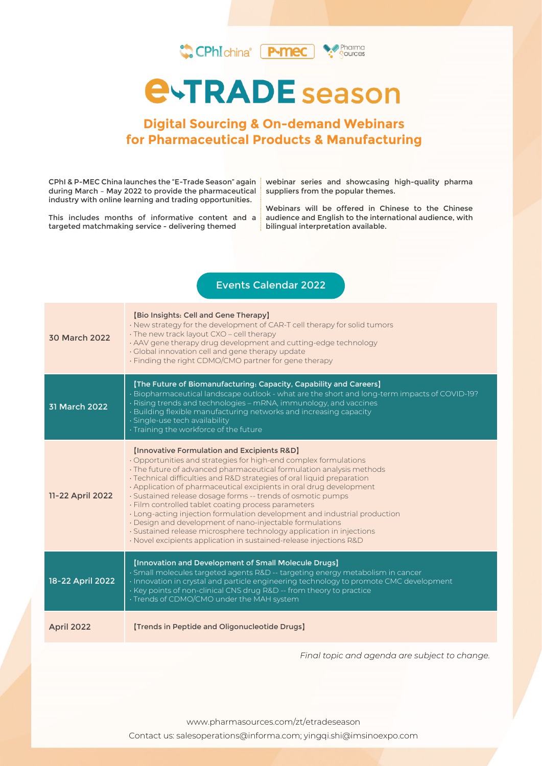

# **Digital Sourcing & On-demand Webinars for Pharmaceutical Products & Manufacturing**

CPhI & P-MEC China launches the "E-Trade Season" again during March – May 2022 to provide the pharmaceutical industry with online learning and trading opportunities.

This includes months of informative content and a targeted matchmaking service - delivering themed

webinar series and showcasing high-quality pharma suppliers from the popular themes.

Webinars will be offered in Chinese to the Chinese audience and English to the international audience, with bilingual interpretation available.

### Events Calendar 2022

| 30 March 2022    | [Bio Insights: Cell and Gene Therapy]<br>. New strategy for the development of CAR-T cell therapy for solid tumors<br>· The new track layout CXO - cell therapy<br>· AAV gene therapy drug development and cutting-edge technology<br>· Global innovation cell and gene therapy update<br>. Finding the right CDMO/CMO partner for gene therapy                                                                                                                                                                                                                                                                                                                                                                                                       |
|------------------|-------------------------------------------------------------------------------------------------------------------------------------------------------------------------------------------------------------------------------------------------------------------------------------------------------------------------------------------------------------------------------------------------------------------------------------------------------------------------------------------------------------------------------------------------------------------------------------------------------------------------------------------------------------------------------------------------------------------------------------------------------|
| 31 March 2022    | [The Future of Biomanufacturing: Capacity, Capability and Careers]<br>· Biopharmaceutical landscape outlook - what are the short and long-term impacts of COVID-19?<br>· Rising trends and technologies – mRNA, immunology, and vaccines<br>· Building flexible manufacturing networks and increasing capacity<br>· Single-use tech availability<br>Training the workforce of the future                                                                                                                                                                                                                                                                                                                                                              |
| 11-22 April 2022 | [Innovative Formulation and Excipients R&D]<br>· Opportunities and strategies for high-end complex formulations<br>· The future of advanced pharmaceutical formulation analysis methods<br>· Technical difficulties and R&D strategies of oral liquid preparation<br>. Application of pharmaceutical excipients in oral drug development<br>· Sustained release dosage forms -- trends of osmotic pumps<br>· Film controlled tablet coating process parameters<br>· Long-acting injection formulation development and industrial production<br>· Design and development of nano-injectable formulations<br>· Sustained release microsphere technology application in injections<br>· Novel excipients application in sustained-release injections R&D |
| 18-22 April 2022 | [Innovation and Development of Small Molecule Drugs]<br>· Small molecules targeted agents R&D -- targeting energy metabolism in cancer<br>· Innovation in crystal and particle engineering technology to promote CMC development<br>· Key points of non-clinical CNS drug R&D -- from theory to practice<br>· Trends of CDMO/CMO under the MAH system                                                                                                                                                                                                                                                                                                                                                                                                 |
| April 2022       | [Trends in Peptide and Oligonucleotide Drugs]                                                                                                                                                                                                                                                                                                                                                                                                                                                                                                                                                                                                                                                                                                         |

*Final topic and agenda are subject to change.*

www.pharmasources.com/zt/etradeseason

Contact us: salesoperations@informa.com; yingqi.shi@imsinoexpo.com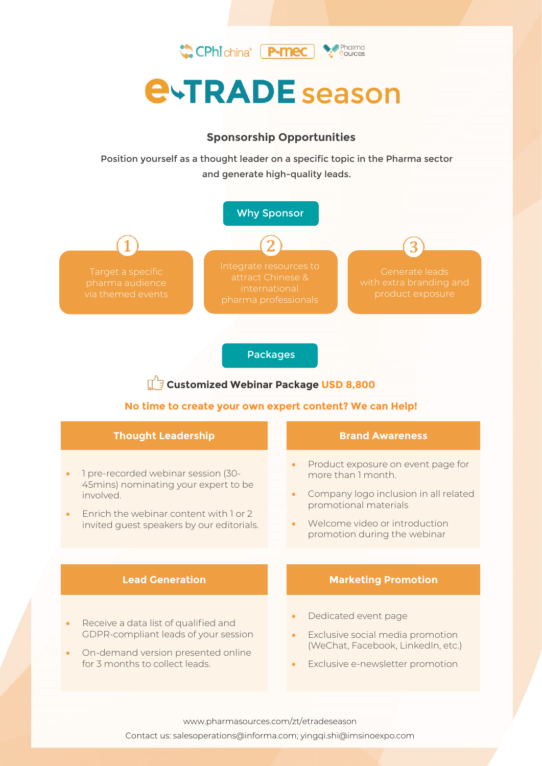

### **Sponsorship Opportunities**

Position yourself as a thought leader on a specific topic in the Pharma sector and generate high-quality leads.



#### Packages

# **Customized Webinar Package USD 8,800**

#### **No time to create your own expert content? We can Help!**

| <b>Thought Leadership</b>                                                                                                                                                       | <b>Brand Awareness</b>                                                                                                                                                                                                |  |
|---------------------------------------------------------------------------------------------------------------------------------------------------------------------------------|-----------------------------------------------------------------------------------------------------------------------------------------------------------------------------------------------------------------------|--|
| 1 pre-recorded webinar session (30-<br>45mins) nominating your expert to be<br>involved.<br>Forich the webinar content with 1 or 2<br>invited guest speakers by our editorials. | Product exposure on event page for<br>$\bullet$<br>more than I month.<br>Company logo inclusion in all related<br>$\bullet$<br>promotional materials<br>Welcome video or introduction<br>promotion during the webinar |  |
|                                                                                                                                                                                 |                                                                                                                                                                                                                       |  |
| <b>Lead Generation</b>                                                                                                                                                          | <b>Marketing Promotion</b>                                                                                                                                                                                            |  |

www.pharmasources.com/zt/etradeseason Contact us: salesoperations@informa.com; yingqi.shi@imsinoexpo.com

Information Classification: General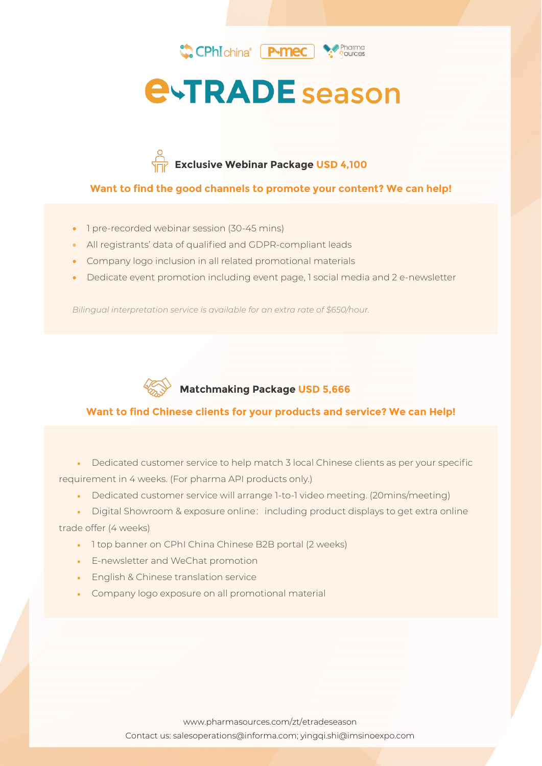





### **Want to find the good channels to promote your content? We can help!**

- 1 pre-recorded webinar session (30-45 mins)
- All registrants' data of qualified and GDPR-compliant leads
- Company logo inclusion in all related promotional materials
- Dedicate event promotion including event page, 1 social media and 2 e-newsletter

*Bilingual interpretation service is available for an extra rate of \$650/hour.*



# **Matchmaking Package USD 5,666**

### **Want to find Chinese clients for your products and service? We can Help!**

• Dedicated customer service to help match 3 local Chinese clients as per your specific requirement in 4 weeks. (For pharma API products only.)

- Dedicated customer service will arrange 1-to-1 video meeting. (20mins/meeting)
- Digital Showroom & exposure online: including product displays to get extra online

#### trade offer (4 weeks)

Information Classification: General

- 1 top banner on CPhI China Chinese B2B portal (2 weeks)
- E-newsletter and WeChat promotion
- English & Chinese translation service
- Company logo exposure on all promotional material

www.pharmasources.com/zt/etradeseason Contact us: salesoperations@informa.com; yingqi.shi@imsinoexpo.com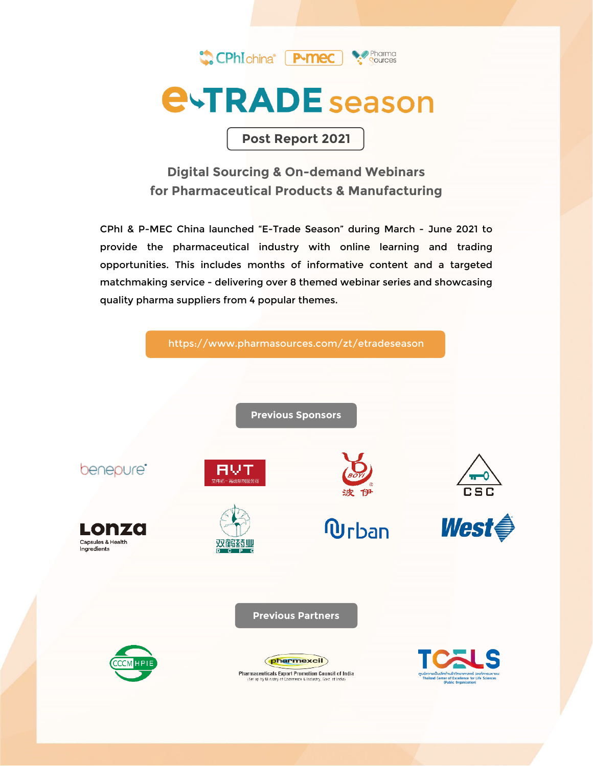

**Post Report 2021**

# **Digital Sourcing & On-demand Webinars for Pharmaceutical Products & Manufacturing**

CPhI & P-MEC China launched "E-Trade Season" during March - June 2021 to provide the pharmaceutical industry with online learning and trading opportunities. This includes months of informative content and a targeted matchmaking service - delivering over 8 themed webinar series and showcasing quality pharma suppliers from 4 popular themes.